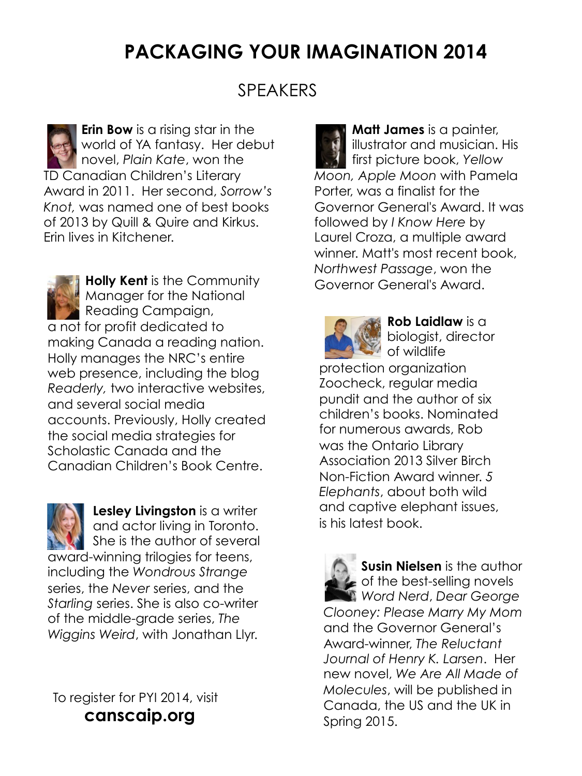## **PACKAGING YOUR IMAGINATION 2014**

### SPEAKERS

**Erin Bow** is a rising star in the world of YA fantasy. Her debut novel, *Plain Kate*, won the TD Canadian Children's Literary Award in 2011. Her second, *Sorrow's Knot,* was named one of best books of 2013 by Quill & Quire and Kirkus. Erin lives in Kitchener.



**Holly Kent** is the Community Manager for the National Reading Campaign, a not for profit dedicated to making Canada a reading nation. Holly manages the NRC's entire web presence, including the blog *Readerly,* two interactive websites, and several social media accounts. Previously, Holly created the social media strategies for Scholastic Canada and the Canadian Children's Book Centre.

**Lesley Livingston** is a writer and actor living in Toronto. She is the author of several award-winning trilogies for teens, including the *Wondrous Strange*  series, the *Never* series, and the *Starling* series. She is also co-writer of the middle-grade series, *The Wiggins Weird*, with Jonathan Llyr.

To register for PYI 2014, visit **canscaip.org**

**Matt James** is a painter, illustrator and musician. His first picture book, *Yellow Moon, Apple Moon* with Pamela Porter, was a finalist for the Governor General's Award. It was followed by *I Know Here* by Laurel Croza, a multiple award winner. Matt's most recent book, *Northwest Passage*, won the Governor General's Award.



**Rob Laidlaw** is a biologist, director of wildlife

protection organization Zoocheck, regular media pundit and the author of six children's books. Nominated for numerous awards, Rob was the Ontario Library Association 2013 Silver Birch Non-Fiction Award winner. *5 Elephants*, about both wild and captive elephant issues, is his latest book.

**Susin Nielsen** is the author **c** of the best-selling novels *Word Nerd*, *Dear George Clooney: Please Marry My Mom* and the Governor General's Award-winner, *The Reluctant Journal of Henry K. Larsen*. Her new novel, *We Are All Made of Molecules*, will be published in Canada, the US and the UK in Spring 2015.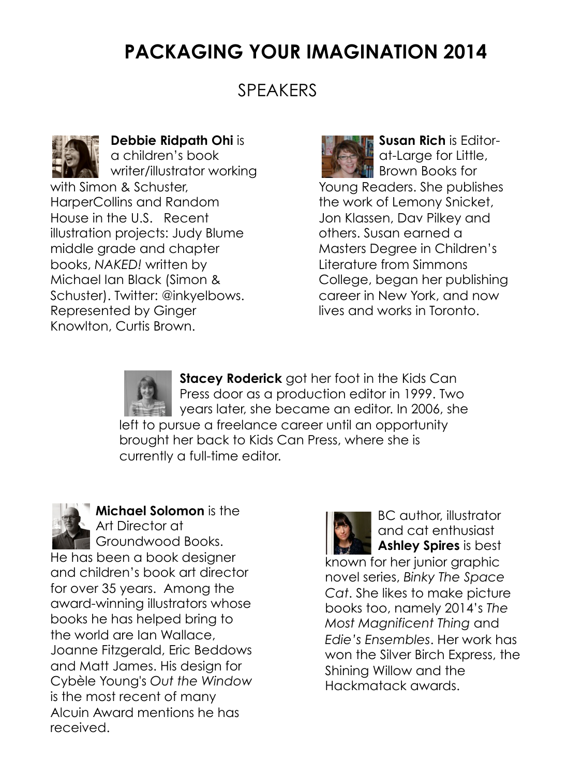### **PACKAGING YOUR IMAGINATION 2014**

#### SPEAKERS



**Debbie Ridpath Ohi** is a children's book writer/illustrator working with Simon & Schuster, HarperCollins and Random House in the U.S. Recent illustration projects: Judy Blume middle grade and chapter books, *NAKED!* written by Michael Ian Black (Simon & Schuster). Twitter: @inkyelbows. Represented by Ginger Knowlton, Curtis Brown.

**Susan Rich** is Editorat-Large for Little, **Brown Books for** Young Readers. She publishes the work of Lemony Snicket, Jon Klassen, Dav Pilkey and others. Susan earned a Masters Degree in Children's Literature from Simmons College, began her publishing career in New York, and now lives and works in Toronto.

**Stacey Roderick** got her foot in the Kids Can Press door as a production editor in 1999. Two years later, she became an editor. In 2006, she left to pursue a freelance career until an opportunity brought her back to Kids Can Press, where she is currently a full-time editor.



**Michael Solomon** is the Art Director at Groundwood Books. He has been a book designer and children's book art director for over 35 years. Among the award-winning illustrators whose books he has helped bring to the world are Ian Wallace, Joanne Fitzgerald, Eric Beddows and Matt James. His design for Cybèle Young's *Out the Window*  is the most recent of many Alcuin Award mentions he has received.

BC author, illustrator and cat enthusiast **Ashley Spires** is best known for her junior graphic novel series, *Binky The Space Cat*. She likes to make picture books too, namely 2014's *The Most Magnificent Thing* and *Edie's Ensembles*. Her work has won the Silver Birch Express, the Shining Willow and the Hackmatack awards.